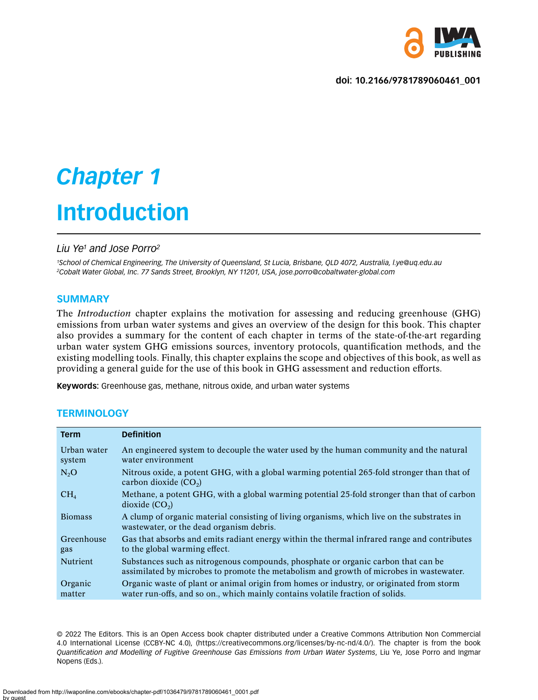

**doi: 10.2166/9781789060461\_001**

# *Chapter 1* **Introduction**

# *Liu Ye1 and Jose Porro2*

*1School of Chemical Engineering, The University of Queensland, St Lucia, Brisbane, QLD 4072, Australia, l.ye@uq.edu.au 2Cobalt Water Global, Inc. 77 Sands Street, Brooklyn, NY 11201, USA, jose.porro@cobaltwater-global.com*

# **SUMMARY**

The *Introduction* chapter explains the motivation for assessing and reducing greenhouse (GHG) emissions from urban water systems and gives an overview of the design for this book. This chapter also provides a summary for the content of each chapter in terms of the state-of-the-art regarding urban water system GHG emissions sources, inventory protocols, quantification methods, and the existing modelling tools. Finally, this chapter explains the scope and objectives of this book, as well as providing a general guide for the use of this book in GHG assessment and reduction efforts.

**Keywords:** Greenhouse gas, methane, nitrous oxide, and urban water systems

# **TERMINOLOGY**

| <b>Term</b>           | <b>Definition</b>                                                                                                                                                            |
|-----------------------|------------------------------------------------------------------------------------------------------------------------------------------------------------------------------|
| Urban water<br>system | An engineered system to decouple the water used by the human community and the natural<br>water environment                                                                  |
| N <sub>2</sub> O      | Nitrous oxide, a potent GHG, with a global warming potential 265-fold stronger than that of<br>carbon dioxide $(CO2)$                                                        |
| CH <sub>4</sub>       | Methane, a potent GHG, with a global warming potential 25-fold stronger than that of carbon<br>dioxide $(CO_2)$                                                              |
| <b>Biomass</b>        | A clump of organic material consisting of living organisms, which live on the substrates in<br>wastewater, or the dead organism debris.                                      |
| Greenhouse<br>gas     | Gas that absorbs and emits radiant energy within the thermal infrared range and contributes<br>to the global warming effect.                                                 |
| Nutrient              | Substances such as nitrogenous compounds, phosphate or organic carbon that can be<br>assimilated by microbes to promote the metabolism and growth of microbes in wastewater. |
| Organic<br>matter     | Organic waste of plant or animal origin from homes or industry, or originated from storm<br>water run-offs, and so on., which mainly contains volatile fraction of solids.   |

© 2022 The Editors. This is an Open Access book chapter distributed under a Creative Commons Attribution Non Commercial 4.0 International License (CCBY-NC 4.0), (https://creativecommons.org/licenses/by-nc-nd/4.0/). The chapter is from the book *Quantification and Modelling of Fugitive Greenhouse Gas Emissions from Urban Water Systems*, Liu Ye, Jose Porro and Ingmar Nopens (Eds.).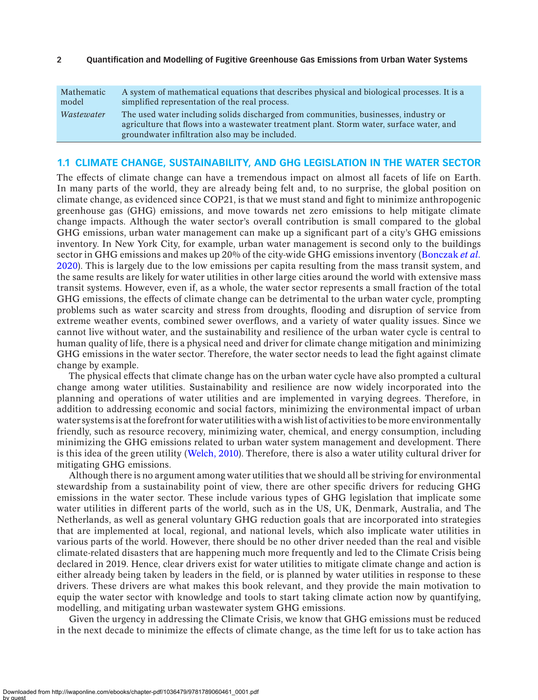| Mathematic | A system of mathematical equations that describes physical and biological processes. It is a                                                                                                                                        |
|------------|-------------------------------------------------------------------------------------------------------------------------------------------------------------------------------------------------------------------------------------|
| model      | simplified representation of the real process.                                                                                                                                                                                      |
| Wastewater | The used water including solids discharged from communities, businesses, industry or<br>agriculture that flows into a wastewater treatment plant. Storm water, surface water, and<br>groundwater infiltration also may be included. |

#### **1.1 CLIMATE CHANGE, SUSTAINABILITY, AND GHG LEGISLATION IN THE WATER SECTOR**

The effects of climate change can have a tremendous impact on almost all facets of life on Earth. In many parts of the world, they are already being felt and, to no surprise, the global position on climate change, as evidenced since COP21, is that we must stand and fight to minimize anthropogenic greenhouse gas (GHG) emissions, and move towards net zero emissions to help mitigate climate change impacts. Although the water sector's overall contribution is small compared to the global GHG emissions, urban water management can make up a significant part of a city's GHG emissions inventory. In New York City, for example, urban water management is second only to the buildings sector in GHG emissions and makes up 20% of the city-wide GHG emissions inventory ([Bonczak](#page-7-0) *et al.* [2020](#page-7-0)). This is largely due to the low emissions per capita resulting from the mass transit system, and the same results are likely for water utilities in other large cities around the world with extensive mass transit systems. However, even if, as a whole, the water sector represents a small fraction of the total GHG emissions, the effects of climate change can be detrimental to the urban water cycle, prompting problems such as water scarcity and stress from droughts, flooding and disruption of service from extreme weather events, combined sewer overflows, and a variety of water quality issues. Since we cannot live without water, and the sustainability and resilience of the urban water cycle is central to human quality of life, there is a physical need and driver for climate change mitigation and minimizing GHG emissions in the water sector. Therefore, the water sector needs to lead the fight against climate change by example.

The physical effects that climate change has on the urban water cycle have also prompted a cultural change among water utilities. Sustainability and resilience are now widely incorporated into the planning and operations of water utilities and are implemented in varying degrees. Therefore, in addition to addressing economic and social factors, minimizing the environmental impact of urban water systems is at the forefront for water utilities with a wish list of activities to be more environmentally friendly, such as resource recovery, minimizing water, chemical, and energy consumption, including minimizing the GHG emissions related to urban water system management and development. There is this idea of the green utility ([Welch, 2010\)](#page-8-0). Therefore, there is also a water utility cultural driver for mitigating GHG emissions.

Although there is no argument among water utilities that we should all be striving for environmental stewardship from a sustainability point of view, there are other specific drivers for reducing GHG emissions in the water sector. These include various types of GHG legislation that implicate some water utilities in different parts of the world, such as in the US, UK, Denmark, Australia, and The Netherlands, as well as general voluntary GHG reduction goals that are incorporated into strategies that are implemented at local, regional, and national levels, which also implicate water utilities in various parts of the world. However, there should be no other driver needed than the real and visible climate-related disasters that are happening much more frequently and led to the Climate Crisis being declared in 2019. Hence, clear drivers exist for water utilities to mitigate climate change and action is either already being taken by leaders in the field, or is planned by water utilities in response to these drivers. These drivers are what makes this book relevant, and they provide the main motivation to equip the water sector with knowledge and tools to start taking climate action now by quantifying, modelling, and mitigating urban wastewater system GHG emissions.

Given the urgency in addressing the Climate Crisis, we know that GHG emissions must be reduced in the next decade to minimize the effects of climate change, as the time left for us to take action has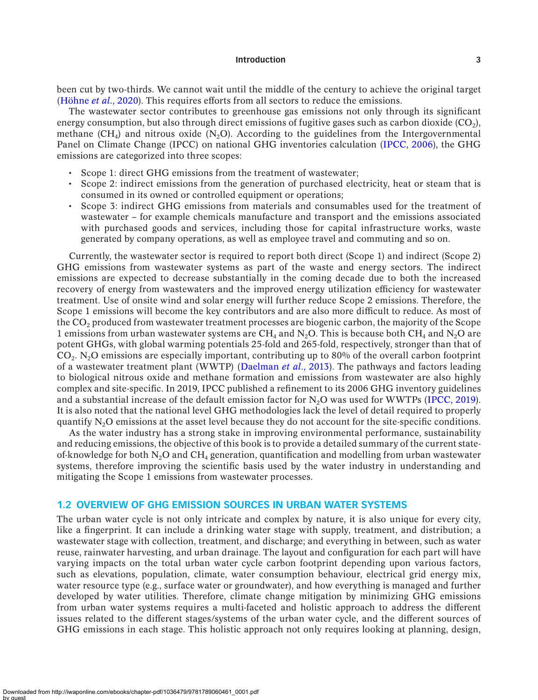been cut by two-thirds. We cannot wait until the middle of the century to achieve the original target ([Höhne](#page-8-1) *et al.*, 2020). This requires efforts from all sectors to reduce the emissions.

The wastewater sector contributes to greenhouse gas emissions not only through its significant energy consumption, but also through direct emissions of fugitive gases such as carbon dioxide  $(CO<sub>2</sub>)$ , methane  $(CH<sub>4</sub>)$  and nitrous oxide (N<sub>2</sub>O). According to the guidelines from the Intergovernmental Panel on Climate Change (IPCC) on national GHG inventories calculation ([IPCC, 2006](#page-7-1)), the GHG emissions are categorized into three scopes:

- Scope 1: direct GHG emissions from the treatment of wastewater;
- Scope 2: indirect emissions from the generation of purchased electricity, heat or steam that is consumed in its owned or controlled equipment or operations;
- Scope 3: indirect GHG emissions from materials and consumables used for the treatment of wastewater – for example chemicals manufacture and transport and the emissions associated with purchased goods and services, including those for capital infrastructure works, waste generated by company operations, as well as employee travel and commuting and so on.

Currently, the wastewater sector is required to report both direct (Scope 1) and indirect (Scope 2) GHG emissions from wastewater systems as part of the waste and energy sectors. The indirect emissions are expected to decrease substantially in the coming decade due to both the increased recovery of energy from wastewaters and the improved energy utilization efficiency for wastewater treatment. Use of onsite wind and solar energy will further reduce Scope 2 emissions. Therefore, the Scope 1 emissions will become the key contributors and are also more difficult to reduce. As most of the  $CO<sub>2</sub>$  produced from wastewater treatment processes are biogenic carbon, the majority of the Scope 1 emissions from urban wastewater systems are CH<sub>4</sub> and N<sub>2</sub>O. This is because both CH<sub>4</sub> and N<sub>2</sub>O are potent GHGs, with global warming potentials 25-fold and 265-fold, respectively, stronger than that of  $CO<sub>2</sub>$ . N<sub>2</sub>O emissions are especially important, contributing up to 80% of the overall carbon footprint of a wastewater treatment plant (WWTP) ([Daelman](#page-7-2) *et al.*, 2013). The pathways and factors leading to biological nitrous oxide and methane formation and emissions from wastewater are also highly complex and site-specific. In 2019, IPCC published a refinement to its 2006 GHG inventory guidelines and a substantial increase of the default emission factor for  $N<sub>2</sub>O$  was used for WWTPs ([IPCC, 2019\)](#page-8-2). It is also noted that the national level GHG methodologies lack the level of detail required to properly quantify N2O emissions at the asset level because they do not account for the site-specific conditions.

As the water industry has a strong stake in improving environmental performance, sustainability and reducing emissions, the objective of this book is to provide a detailed summary of the current stateof-knowledge for both  $N<sub>2</sub>O$  and CH<sub>4</sub> generation, quantification and modelling from urban wastewater systems, therefore improving the scientific basis used by the water industry in understanding and mitigating the Scope 1 emissions from wastewater processes.

## **1.2 OVERVIEW OF GHG EMISSION SOURCES IN URBAN WATER SYSTEMS**

The urban water cycle is not only intricate and complex by nature, it is also unique for every city, like a fingerprint. It can include a drinking water stage with supply, treatment, and distribution; a wastewater stage with collection, treatment, and discharge; and everything in between, such as water reuse, rainwater harvesting, and urban drainage. The layout and configuration for each part will have varying impacts on the total urban water cycle carbon footprint depending upon various factors, such as elevations, population, climate, water consumption behaviour, electrical grid energy mix, water resource type (e.g., surface water or groundwater), and how everything is managed and further developed by water utilities. Therefore, climate change mitigation by minimizing GHG emissions from urban water systems requires a multi-faceted and holistic approach to address the different issues related to the different stages/systems of the urban water cycle, and the different sources of GHG emissions in each stage. This holistic approach not only requires looking at planning, design,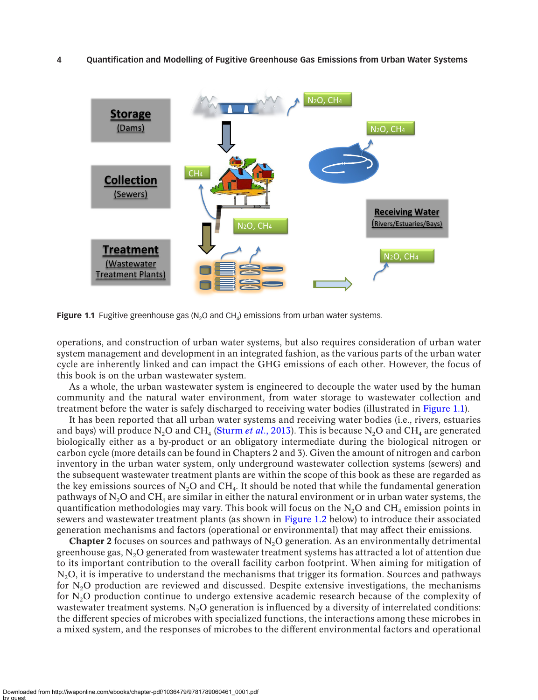#### **4 Quantification and Modelling of Fugitive Greenhouse Gas Emissions from Urban Water Systems**



<span id="page-3-0"></span>**Figure 1.1** Fugitive greenhouse gas (N<sub>2</sub>O and CH<sub>4</sub>) emissions from urban water systems.

operations, and construction of urban water systems, but also requires consideration of urban water system management and development in an integrated fashion, as the various parts of the urban water cycle are inherently linked and can impact the GHG emissions of each other. However, the focus of this book is on the urban wastewater system.

As a whole, the urban wastewater system is engineered to decouple the water used by the human community and the natural water environment, from water storage to wastewater collection and treatment before the water is safely discharged to receiving water bodies (illustrated in [Figure 1.1\)](#page-3-0).

It has been reported that all urban water systems and receiving water bodies (i.e., rivers, estuaries and bays) will produce N<sub>2</sub>O and CH<sub>4</sub> [\(Sturm](#page-8-3) *et al.*, 2013). This is because N<sub>2</sub>O and CH<sub>4</sub> are generated biologically either as a by-product or an obligatory intermediate during the biological nitrogen or carbon cycle (more details can be found in Chapters 2 and 3). Given the amount of nitrogen and carbon inventory in the urban water system, only underground wastewater collection systems (sewers) and the subsequent wastewater treatment plants are within the scope of this book as these are regarded as the key emissions sources of  $N_2O$  and CH<sub>4</sub>. It should be noted that while the fundamental generation pathways of  $N_2O$  and CH<sub>4</sub> are similar in either the natural environment or in urban water systems, the quantification methodologies may vary. This book will focus on the  $N_2O$  and  $CH_4$  emission points in sewers and wastewater treatment plants (as shown in [Figure 1.2](#page-4-0) below) to introduce their associated generation mechanisms and factors (operational or environmental) that may affect their emissions.

**Chapter 2** focuses on sources and pathways of  $N<sub>2</sub>O$  generation. As an environmentally detrimental greenhouse gas,  $N_2O$  generated from wastewater treatment systems has attracted a lot of attention due to its important contribution to the overall facility carbon footprint. When aiming for mitigation of N<sub>2</sub>O, it is imperative to understand the mechanisms that trigger its formation. Sources and pathways for  $N_2O$  production are reviewed and discussed. Despite extensive investigations, the mechanisms for  $N_2O$  production continue to undergo extensive academic research because of the complexity of wastewater treatment systems. N<sub>2</sub>O generation is influenced by a diversity of interrelated conditions: the different species of microbes with specialized functions, the interactions among these microbes in a mixed system, and the responses of microbes to the different environmental factors and operational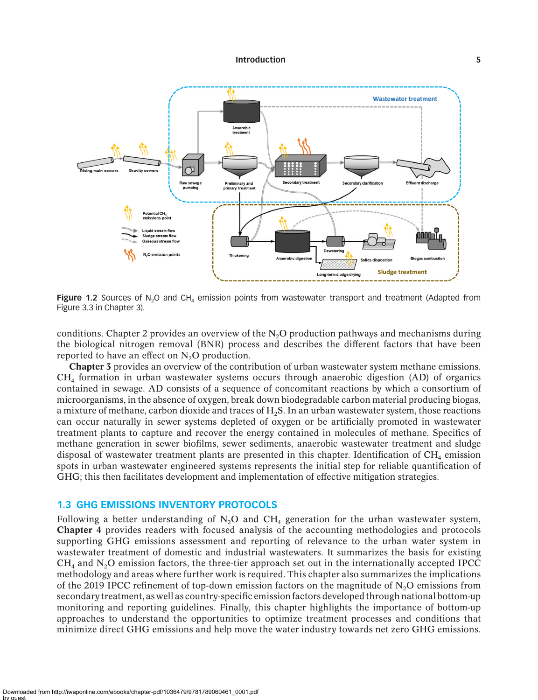

<span id="page-4-0"></span>**Figure 1.2** Sources of N<sub>2</sub>O and CH<sub>4</sub> emission points from wastewater transport and treatment (Adapted from Figure 3.3 in Chapter 3).

conditions. Chapter 2 provides an overview of the  $N<sub>2</sub>O$  production pathways and mechanisms during the biological nitrogen removal (BNR) process and describes the different factors that have been reported to have an effect on  $N<sub>2</sub>O$  production.

Chapter 3 provides an overview of the contribution of urban wastewater system methane emissions.  $CH<sub>4</sub>$  formation in urban wastewater systems occurs through anaerobic digestion (AD) of organics contained in sewage. AD consists of a sequence of concomitant reactions by which a consortium of microorganisms, in the absence of oxygen, break down biodegradable carbon material producing biogas, a mixture of methane, carbon dioxide and traces of H<sub>2</sub>S. In an urban wastewater system, those reactions can occur naturally in sewer systems depleted of oxygen or be artificially promoted in wastewater treatment plants to capture and recover the energy contained in molecules of methane. Specifics of methane generation in sewer biofilms, sewer sediments, anaerobic wastewater treatment and sludge disposal of wastewater treatment plants are presented in this chapter. Identification of  $CH<sub>4</sub>$  emission spots in urban wastewater engineered systems represents the initial step for reliable quantification of GHG; this then facilitates development and implementation of effective mitigation strategies.

## **1.3 GHG EMISSIONS INVENTORY PROTOCOLS**

Following a better understanding of  $N<sub>2</sub>O$  and  $CH<sub>4</sub>$  generation for the urban wastewater system, Chapter 4 provides readers with focused analysis of the accounting methodologies and protocols supporting GHG emissions assessment and reporting of relevance to the urban water system in wastewater treatment of domestic and industrial wastewaters. It summarizes the basis for existing  $CH<sub>4</sub>$  and  $N<sub>2</sub>O$  emission factors, the three-tier approach set out in the internationally accepted IPCC methodology and areas where further work is required. This chapter also summarizes the implications of the 2019 IPCC refinement of top-down emission factors on the magnitude of  $N_2O$  emissions from secondary treatment, as well as country-specific emission factors developed through national bottom-up monitoring and reporting guidelines. Finally, this chapter highlights the importance of bottom-up approaches to understand the opportunities to optimize treatment processes and conditions that minimize direct GHG emissions and help move the water industry towards net zero GHG emissions.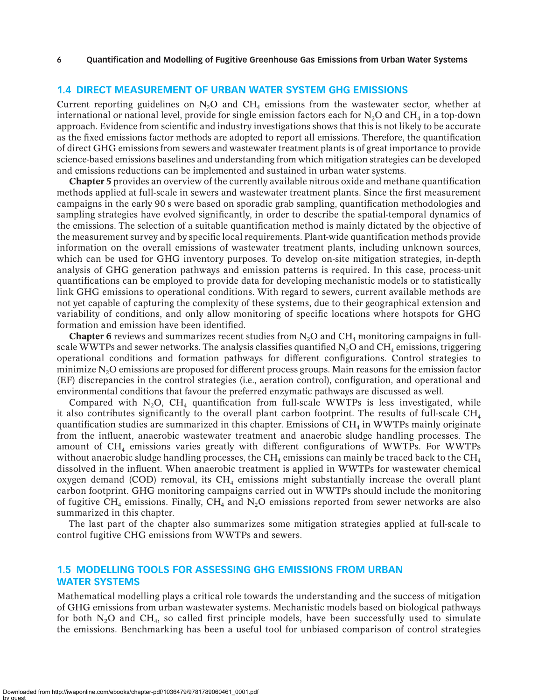## **1.4 DIRECT MEASUREMENT OF URBAN WATER SYSTEM GHG EMISSIONS**

Current reporting guidelines on  $N_2O$  and CH<sub>4</sub> emissions from the wastewater sector, whether at international or national level, provide for single emission factors each for  $N_2O$  and CH<sub>4</sub> in a top-down approach. Evidence from scientific and industry investigations shows that this is not likely to be accurate as the fixed emissions factor methods are adopted to report all emissions. Therefore, the quantification of direct GHG emissions from sewers and wastewater treatment plants is of great importance to provide science-based emissions baselines and understanding from which mitigation strategies can be developed and emissions reductions can be implemented and sustained in urban water systems.

Chapter 5 provides an overview of the currently available nitrous oxide and methane quantification methods applied at full-scale in sewers and wastewater treatment plants. Since the first measurement campaigns in the early 90 s were based on sporadic grab sampling, quantification methodologies and sampling strategies have evolved significantly, in order to describe the spatial-temporal dynamics of the emissions. The selection of a suitable quantification method is mainly dictated by the objective of the measurement survey and by specific local requirements. Plant-wide quantification methods provide information on the overall emissions of wastewater treatment plants, including unknown sources, which can be used for GHG inventory purposes. To develop on-site mitigation strategies, in-depth analysis of GHG generation pathways and emission patterns is required. In this case, process-unit quantifications can be employed to provide data for developing mechanistic models or to statistically link GHG emissions to operational conditions. With regard to sewers, current available methods are not yet capable of capturing the complexity of these systems, due to their geographical extension and variability of conditions, and only allow monitoring of specific locations where hotspots for GHG formation and emission have been identified.

**Chapter 6** reviews and summarizes recent studies from  $N_2O$  and  $CH_4$  monitoring campaigns in fullscale WWTPs and sewer networks. The analysis classifies quantified  $N_2O$  and  $CH_4$  emissions, triggering operational conditions and formation pathways for different configurations. Control strategies to minimize N2O emissions are proposed for different process groups. Main reasons for the emission factor (EF) discrepancies in the control strategies (i.e., aeration control), configuration, and operational and environmental conditions that favour the preferred enzymatic pathways are discussed as well.

Compared with  $N_2O$ , CH<sub>4</sub> quantification from full-scale WWTPs is less investigated, while it also contributes significantly to the overall plant carbon footprint. The results of full-scale  $CH<sub>4</sub>$ quantification studies are summarized in this chapter. Emissions of  $CH<sub>4</sub>$  in WWTPs mainly originate from the influent, anaerobic wastewater treatment and anaerobic sludge handling processes. The amount of CH4 emissions varies greatly with different configurations of WWTPs. For WWTPs without anaerobic sludge handling processes, the  $CH_4$  emissions can mainly be traced back to the  $CH_4$ dissolved in the influent. When anaerobic treatment is applied in WWTPs for wastewater chemical oxygen demand (COD) removal, its  $CH<sub>4</sub>$  emissions might substantially increase the overall plant carbon footprint. GHG monitoring campaigns carried out in WWTPs should include the monitoring of fugitive CH<sub>4</sub> emissions. Finally, CH<sub>4</sub> and N<sub>2</sub>O emissions reported from sewer networks are also summarized in this chapter.

The last part of the chapter also summarizes some mitigation strategies applied at full-scale to control fugitive CHG emissions from WWTPs and sewers.

# **1.5 MODELLING TOOLS FOR ASSESSING GHG EMISSIONS FROM URBAN WATER SYSTEMS**

Mathematical modelling plays a critical role towards the understanding and the success of mitigation of GHG emissions from urban wastewater systems. Mechanistic models based on biological pathways for both  $N_2O$  and  $CH_4$ , so called first principle models, have been successfully used to simulate the emissions. Benchmarking has been a useful tool for unbiased comparison of control strategies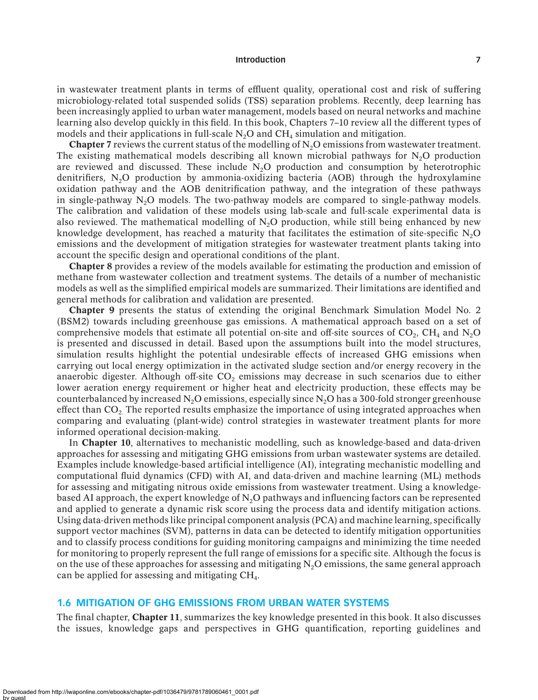in wastewater treatment plants in terms of effluent quality, operational cost and risk of suffering microbiology-related total suspended solids (TSS) separation problems. Recently, deep learning has been increasingly applied to urban water management, models based on neural networks and machine learning also develop quickly in this field. In this book, Chapters 7–10 review all the different types of models and their applications in full-scale  $N<sub>2</sub>O$  and  $CH<sub>4</sub>$  simulation and mitigation.

**Chapter 7** reviews the current status of the modelling of  $N<sub>2</sub>O$  emissions from wastewater treatment. The existing mathematical models describing all known microbial pathways for  $N<sub>2</sub>O$  production are reviewed and discussed. These include  $N<sub>2</sub>O$  production and consumption by heterotrophic denitrifiers,  $N<sub>2</sub>O$  production by ammonia-oxidizing bacteria (AOB) through the hydroxylamine oxidation pathway and the AOB denitrification pathway, and the integration of these pathways in single-pathway  $N_2O$  models. The two-pathway models are compared to single-pathway models. The calibration and validation of these models using lab-scale and full-scale experimental data is also reviewed. The mathematical modelling of  $N_2O$  production, while still being enhanced by new knowledge development, has reached a maturity that facilitates the estimation of site-specific  $N<sub>2</sub>O$ emissions and the development of mitigation strategies for wastewater treatment plants taking into account the specific design and operational conditions of the plant.

Chapter 8 provides a review of the models available for estimating the production and emission of methane from wastewater collection and treatment systems. The details of a number of mechanistic models as well as the simplified empirical models are summarized. Their limitations are identified and general methods for calibration and validation are presented.

Chapter 9 presents the status of extending the original Benchmark Simulation Model No. 2 (BSM2) towards including greenhouse gas emissions. A mathematical approach based on a set of comprehensive models that estimate all potential on-site and off-site sources of  $CO<sub>2</sub>$ , CH<sub>4</sub> and N<sub>2</sub>O is presented and discussed in detail. Based upon the assumptions built into the model structures, simulation results highlight the potential undesirable effects of increased GHG emissions when carrying out local energy optimization in the activated sludge section and/or energy recovery in the anaerobic digester. Although off-site  $CO<sub>2</sub>$  emissions may decrease in such scenarios due to either lower aeration energy requirement or higher heat and electricity production, these effects may be counterbalanced by increased  $N<sub>2</sub>O$  emissions, especially since  $N<sub>2</sub>O$  has a 300-fold stronger greenhouse effect than  $CO<sub>2</sub>$ . The reported results emphasize the importance of using integrated approaches when comparing and evaluating (plant-wide) control strategies in wastewater treatment plants for more informed operational decision-making.

In Chapter 10, alternatives to mechanistic modelling, such as knowledge-based and data-driven approaches for assessing and mitigating GHG emissions from urban wastewater systems are detailed. Examples include knowledge-based artificial intelligence (AI), integrating mechanistic modelling and computational fluid dynamics (CFD) with AI, and data-driven and machine learning (ML) methods for assessing and mitigating nitrous oxide emissions from wastewater treatment. Using a knowledgebased AI approach, the expert knowledge of  $N_2O$  pathways and influencing factors can be represented and applied to generate a dynamic risk score using the process data and identify mitigation actions. Using data-driven methods like principal component analysis (PCA) and machine learning, specifically support vector machines (SVM), patterns in data can be detected to identify mitigation opportunities and to classify process conditions for guiding monitoring campaigns and minimizing the time needed for monitoring to properly represent the full range of emissions for a specific site. Although the focus is on the use of these approaches for assessing and mitigating  $N<sub>2</sub>O$  emissions, the same general approach can be applied for assessing and mitigating  $CH<sub>4</sub>$ .

#### **1.6 MITIGATION OF GHG EMISSIONS FROM URBAN WATER SYSTEMS**

The final chapter, Chapter 11, summarizes the key knowledge presented in this book. It also discusses the issues, knowledge gaps and perspectives in GHG quantification, reporting guidelines and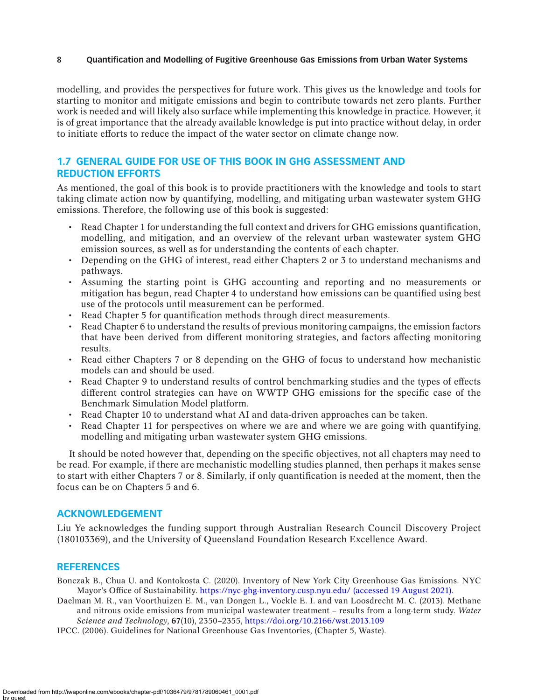#### **8 Quantification and Modelling of Fugitive Greenhouse Gas Emissions from Urban Water Systems**

modelling, and provides the perspectives for future work. This gives us the knowledge and tools for starting to monitor and mitigate emissions and begin to contribute towards net zero plants. Further work is needed and will likely also surface while implementing this knowledge in practice. However, it is of great importance that the already available knowledge is put into practice without delay, in order to initiate efforts to reduce the impact of the water sector on climate change now.

# **1.7 GENERAL GUIDE FOR USE OF THIS BOOK IN GHG ASSESSMENT AND REDUCTION EFFORTS**

As mentioned, the goal of this book is to provide practitioners with the knowledge and tools to start taking climate action now by quantifying, modelling, and mitigating urban wastewater system GHG emissions. Therefore, the following use of this book is suggested:

- Read Chapter 1 for understanding the full context and drivers for GHG emissions quantification, modelling, and mitigation, and an overview of the relevant urban wastewater system GHG emission sources, as well as for understanding the contents of each chapter.
- Depending on the GHG of interest, read either Chapters 2 or 3 to understand mechanisms and pathways.
- Assuming the starting point is GHG accounting and reporting and no measurements or mitigation has begun, read Chapter 4 to understand how emissions can be quantified using best use of the protocols until measurement can be performed.
- Read Chapter 5 for quantification methods through direct measurements.
- Read Chapter 6 to understand the results of previous monitoring campaigns, the emission factors that have been derived from different monitoring strategies, and factors affecting monitoring results.
- Read either Chapters 7 or 8 depending on the GHG of focus to understand how mechanistic models can and should be used.
- Read Chapter 9 to understand results of control benchmarking studies and the types of effects different control strategies can have on WWTP GHG emissions for the specific case of the Benchmark Simulation Model platform.
- Read Chapter 10 to understand what AI and data-driven approaches can be taken.
- Read Chapter 11 for perspectives on where we are and where we are going with quantifying, modelling and mitigating urban wastewater system GHG emissions.

It should be noted however that, depending on the specific objectives, not all chapters may need to be read. For example, if there are mechanistic modelling studies planned, then perhaps it makes sense to start with either Chapters 7 or 8. Similarly, if only quantification is needed at the moment, then the focus can be on Chapters 5 and 6.

## **ACKNOWLEDGEMENT**

Liu Ye acknowledges the funding support through Australian Research Council Discovery Project (180103369), and the University of Queensland Foundation Research Excellence Award.

#### **REFERENCES**

<span id="page-7-0"></span>Bonczak B., Chua U. and Kontokosta C. (2020). Inventory of New York City Greenhouse Gas Emissions. NYC Mayor's Office of Sustainability. [https://nyc-ghg-inventory.cusp.nyu.edu/ \(accessed 19 August 2021\).](https://nyc-ghg-inventory.cusp.nyu.edu/ (accessed 19 August 2021).)

<span id="page-7-2"></span>Daelman M. R., van Voorthuizen E. M., van Dongen L., Vockle E. I. and van Loosdrecht M. C. (2013). Methane and nitrous oxide emissions from municipal wastewater treatment – results from a long-term study. *Water Science and Technology*, 67(10), 2350–2355,<https://doi.org/10.2166/wst.2013.109>

<span id="page-7-1"></span>IPCC. (2006). Guidelines for National Greenhouse Gas Inventories, (Chapter 5, Waste).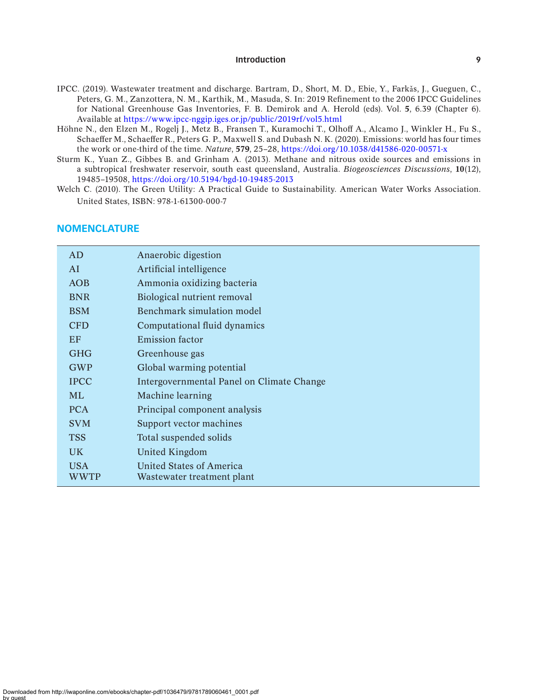- <span id="page-8-2"></span>IPCC. (2019). Wastewater treatment and discharge. Bartram, D., Short, M. D., Ebie, Y., Farkǎs, J., Gueguen, C., Peters, G. M., Zanzottera, N. M., Karthik, M., Masuda, S. In: 2019 Refinement to the 2006 IPCC Guidelines for National Greenhouse Gas Inventories, F. B. Demirok and A. Herold (eds). Vol. 5, 6.39 (Chapter 6). Available at<https://www.ipcc-nggip.iges.or.jp/public/2019rf/vol5.html>
- <span id="page-8-1"></span>Höhne N., den Elzen M., Rogelj J., Metz B., Fransen T., Kuramochi T., Olhoff A., Alcamo J., Winkler H., Fu S., Schaeffer M., Schaeffer R., Peters G. P., Maxwell S. and Dubash N. K. (2020). Emissions: world has four times the work or one-third of the time. *Nature*, 579, 25–28,<https://doi.org/10.1038/d41586-020-00571-x>
- <span id="page-8-3"></span>Sturm K., Yuan Z., Gibbes B. and Grinham A. (2013). Methane and nitrous oxide sources and emissions in a subtropical freshwater reservoir, south east queensland, Australia. *Biogeosciences Discussions*, 10(12), 19485–19508, <https://doi.org/10.5194/bgd-10-19485-2013>
- <span id="page-8-0"></span>Welch C. (2010). The Green Utility: A Practical Guide to Sustainability. American Water Works Association. United States, ISBN: 978-1-61300-000-7

| AD          | Anaerobic digestion                       |
|-------------|-------------------------------------------|
| AI          | Artificial intelligence                   |
| <b>AOB</b>  | Ammonia oxidizing bacteria                |
| <b>BNR</b>  | Biological nutrient removal               |
| <b>BSM</b>  | Benchmark simulation model                |
| <b>CFD</b>  | Computational fluid dynamics              |
| EF          | Emission factor                           |
| <b>GHG</b>  | Greenhouse gas                            |
| <b>GWP</b>  | Global warming potential                  |
| <b>IPCC</b> | Intergovernmental Panel on Climate Change |
| <b>ML</b>   | Machine learning                          |
| <b>PCA</b>  | Principal component analysis              |
| <b>SVM</b>  | Support vector machines                   |
| <b>TSS</b>  | Total suspended solids                    |
| UK.         | United Kingdom                            |
| <b>USA</b>  | United States of America                  |
| WWTP        | Wastewater treatment plant                |

## **NOMENCLATURE**